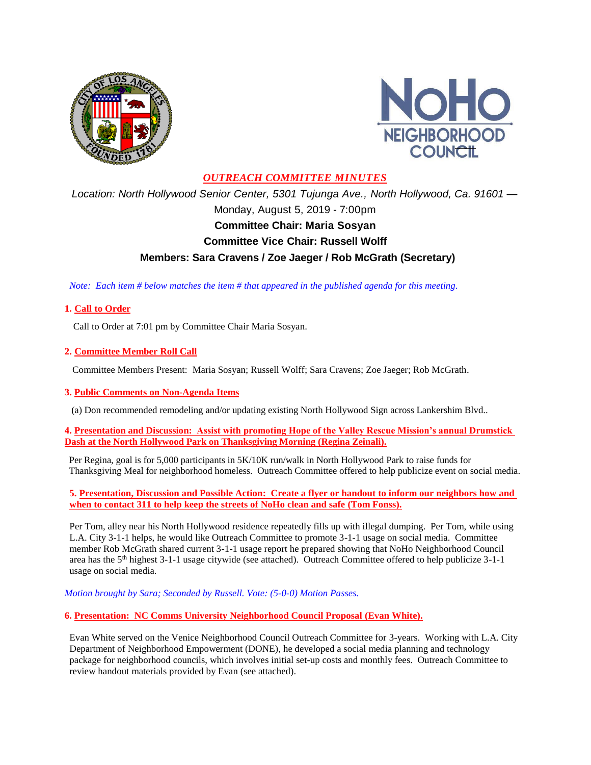



### *OUTREACH COMMITTEE MINUTES*

*Location: North Hollywood Senior Center, 5301 Tujunga Ave., North Hollywood, Ca. 91601 —* Monday, August 5, 2019 - 7:00pm **Committee Chair: Maria Sosyan Committee Vice Chair: Russell Wolff Members: Sara Cravens / Zoe Jaeger / Rob McGrath (Secretary)**

 *Note: Each item # below matches the item # that appeared in the published agenda for this meeting.*

#### **1. Call to Order**

Call to Order at 7:01 pm by Committee Chair Maria Sosyan.

#### **2. Committee Member Roll Call**

Committee Members Present: Maria Sosyan; Russell Wolff; Sara Cravens; Zoe Jaeger; Rob McGrath.

#### **3. Public Comments on Non-Agenda Items**

(a) Don recommended remodeling and/or updating existing North Hollywood Sign across Lankershim Blvd..

**4. Presentation and Discussion: Assist with promoting Hope of the Valley Rescue Mission's annual Drumstick Dash at the North Hollywood Park on Thanksgiving Morning (Regina Zeinali).**

Per Regina, goal is for 5,000 participants in 5K/10K run/walk in North Hollywood Park to raise funds for Thanksgiving Meal for neighborhood homeless. Outreach Committee offered to help publicize event on social media.

**5. Presentation, Discussion and Possible Action: Create a flyer or handout to inform our neighbors how and when to contact 311 to help keep the streets of NoHo clean and safe (Tom Fonss).**

Per Tom, alley near his North Hollywood residence repeatedly fills up with illegal dumping. Per Tom, while using L.A. City 3-1-1 helps, he would like Outreach Committee to promote 3-1-1 usage on social media. Committee member Rob McGrath shared current 3-1-1 usage report he prepared showing that NoHo Neighborhood Council area has the 5th highest 3-1-1 usage citywide (see attached). Outreach Committee offered to help publicize 3-1-1 usage on social media.

*Motion brought by Sara; Seconded by Russell. Vote: (5-0-0) Motion Passes.*

**6. Presentation: NC Comms University Neighborhood Council Proposal (Evan White).**

Evan White served on the Venice Neighborhood Council Outreach Committee for 3-years. Working with L.A. City Department of Neighborhood Empowerment (DONE), he developed a social media planning and technology package for neighborhood councils, which involves initial set-up costs and monthly fees. Outreach Committee to review handout materials provided by Evan (see attached).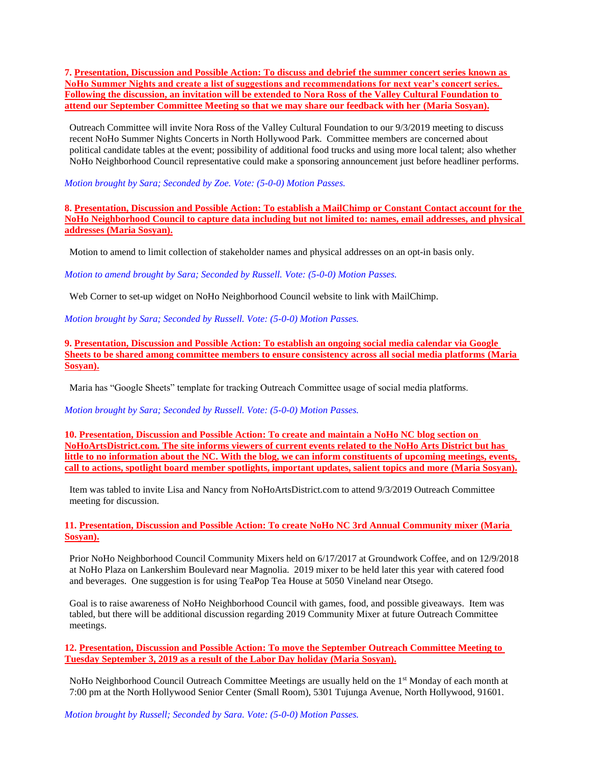**7. Presentation, Discussion and Possible Action: To discuss and debrief the summer concert series known as NoHo Summer Nights and create a list of suggestions and recommendations for next year's concert series. Following the discussion, an invitation will be extended to Nora Ross of the Valley Cultural Foundation to attend our September Committee Meeting so that we may share our feedback with her (Maria Sosyan).**

Outreach Committee will invite Nora Ross of the Valley Cultural Foundation to our 9/3/2019 meeting to discuss recent NoHo Summer Nights Concerts in North Hollywood Park. Committee members are concerned about political candidate tables at the event; possibility of additional food trucks and using more local talent; also whether NoHo Neighborhood Council representative could make a sponsoring announcement just before headliner performs.

*Motion brought by Sara; Seconded by Zoe. Vote: (5-0-0) Motion Passes.*

**8. Presentation, Discussion and Possible Action: To establish a MailChimp or Constant Contact account for the NoHo Neighborhood Council to capture data including but not limited to: names, email addresses, and physical addresses (Maria Sosyan).**

Motion to amend to limit collection of stakeholder names and physical addresses on an opt-in basis only.

*Motion to amend brought by Sara; Seconded by Russell. Vote: (5-0-0) Motion Passes.*

Web Corner to set-up widget on NoHo Neighborhood Council website to link with MailChimp.

*Motion brought by Sara; Seconded by Russell. Vote: (5-0-0) Motion Passes.*

**9. Presentation, Discussion and Possible Action: To establish an ongoing social media calendar via Google Sheets to be shared among committee members to ensure consistency across all social media platforms (Maria Sosyan).**

Maria has "Google Sheets" template for tracking Outreach Committee usage of social media platforms.

*Motion brought by Sara; Seconded by Russell. Vote: (5-0-0) Motion Passes.*

**10. Presentation, Discussion and Possible Action: To create and maintain a NoHo NC blog section on NoHoArtsDistrict.com. The site informs viewers of current events related to the NoHo Arts District but has little to no information about the NC. With the blog, we can inform constituents of upcoming meetings, events, call to actions, spotlight board member spotlights, important updates, salient topics and more (Maria Sosyan).**

Item was tabled to invite Lisa and Nancy from NoHoArtsDistrict.com to attend 9/3/2019 Outreach Committee meeting for discussion.

**11. Presentation, Discussion and Possible Action: To create NoHo NC 3rd Annual Community mixer (Maria Sosyan).**

Prior NoHo Neighborhood Council Community Mixers held on 6/17/2017 at Groundwork Coffee, and on 12/9/2018 at NoHo Plaza on Lankershim Boulevard near Magnolia. 2019 mixer to be held later this year with catered food and beverages. One suggestion is for using TeaPop Tea House at 5050 Vineland near Otsego.

Goal is to raise awareness of NoHo Neighborhood Council with games, food, and possible giveaways. Item was tabled, but there will be additional discussion regarding 2019 Community Mixer at future Outreach Committee meetings.

**12. Presentation, Discussion and Possible Action: To move the September Outreach Committee Meeting to Tuesday September 3, 2019 as a result of the Labor Day holiday (Maria Sosyan).**

NoHo Neighborhood Council Outreach Committee Meetings are usually held on the 1st Monday of each month at 7:00 pm at the North Hollywood Senior Center (Small Room), 5301 Tujunga Avenue, North Hollywood, 91601.

*Motion brought by Russell; Seconded by Sara. Vote: (5-0-0) Motion Passes.*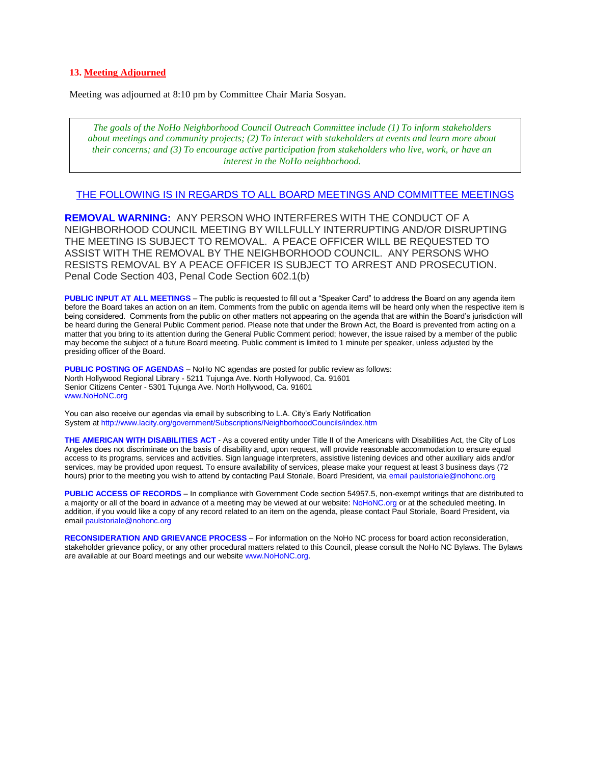#### **13. Meeting Adjourned**

Meeting was adjourned at 8:10 pm by Committee Chair Maria Sosyan.

*The goals of the NoHo Neighborhood Council Outreach Committee include (1) To inform stakeholders about meetings and community projects; (2) To interact with stakeholders at events and learn more about their concerns; and (3) To encourage active participation from stakeholders who live, work, or have an interest in the NoHo neighborhood.*

#### THE FOLLOWING IS IN REGARDS TO ALL BOARD MEETINGS AND COMMITTEE MEETINGS

**REMOVAL WARNING:** ANY PERSON WHO INTERFERES WITH THE CONDUCT OF A NEIGHBORHOOD COUNCIL MEETING BY WILLFULLY INTERRUPTING AND/OR DISRUPTING THE MEETING IS SUBJECT TO REMOVAL. A PEACE OFFICER WILL BE REQUESTED TO ASSIST WITH THE REMOVAL BY THE NEIGHBORHOOD COUNCIL. ANY PERSONS WHO RESISTS REMOVAL BY A PEACE OFFICER IS SUBJECT TO ARREST AND PROSECUTION. Penal Code Section 403, Penal Code Section 602.1(b)

**PUBLIC INPUT AT ALL MEETINGS** – The public is requested to fill out a "Speaker Card" to address the Board on any agenda item before the Board takes an action on an item. Comments from the public on agenda items will be heard only when the respective item is being considered. Comments from the public on other matters not appearing on the agenda that are within the Board's jurisdiction will be heard during the General Public Comment period. Please note that under the Brown Act, the Board is prevented from acting on a matter that you bring to its attention during the General Public Comment period; however, the issue raised by a member of the public may become the subject of a future Board meeting. Public comment is limited to 1 minute per speaker, unless adjusted by the presiding officer of the Board.

**PUBLIC POSTING OF AGENDAS** – NoHo NC agendas are posted for public review as follows: North Hollywood Regional Library - 5211 Tujunga Ave. North Hollywood, Ca. 91601 Senior Citizens Center - 5301 Tujunga Ave. North Hollywood, Ca. 91601 www.NoHoNC.org

You can also receive our agendas via email by subscribing to L.A. City's Early Notification System at http://www.lacity.org/government/Subscriptions/NeighborhoodCouncils/index.htm

**THE AMERICAN WITH DISABILITIES ACT** - As a covered entity under Title II of the Americans with Disabilities Act, the City of Los Angeles does not discriminate on the basis of disability and, upon request, will provide reasonable accommodation to ensure equal access to its programs, services and activities. Sign language interpreters, assistive listening devices and other auxiliary aids and/or services, may be provided upon request. To ensure availability of services, please make your request at least 3 business days (72 hours) prior to the meeting you wish to attend by contacting Paul Storiale, Board President, via email paulstoriale@nohonc.org

**PUBLIC ACCESS OF RECORDS** – In compliance with Government Code section 54957.5, non-exempt writings that are distributed to a majority or all of the board in advance of a meeting may be viewed at our website: NoHoNC.org or at the scheduled meeting. In addition, if you would like a copy of any record related to an item on the agenda, please contact Paul Storiale, Board President, via email paulstoriale@nohonc.org

**RECONSIDERATION AND GRIEVANCE PROCESS** – For information on the NoHo NC process for board action reconsideration, stakeholder grievance policy, or any other procedural matters related to this Council, please consult the NoHo NC Bylaws. The Bylaws are available at our Board meetings and our website www.NoHoNC.org.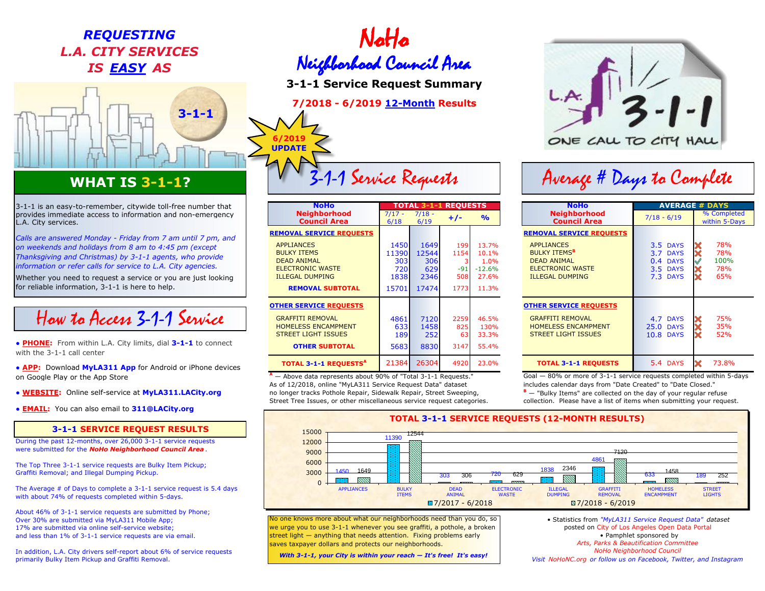## REQUESTING<br>CITY SERVICES *L.A. CITY SERVICES*



### **WHAT IS 3-1-1?**

How to Access 3-1-1 Service

**• APP:** Download MyLA311 App for Android or iPhone devices on Google Play or the App Store

- 
- **EMAIL:** You can also email to **311@LACity.org**

### **3-1-1 SERVICE REQUEST RESULTS**

During the past 12-months, over 26,000 3-1-1 service requests were submitted for the *NoHo Neighborhood Council Area* .

Graffiti Removal; and Illegal Dumping Pickup. The Top Three 3-1-1 service requests are Bulky Item Pickup;

The Average # of Days to complete a 3-1-1 service request is 5.4 days with about 74% of requests completed within 5-days.

About 46% of 3-1-1 service requests are submitted by Phone; Over 30% are submitted via MyLA311 Mobile App; 17% are submitted via online self-service website; and less than 1% of 3-1-1 service requests are via email.

In addition, L.A. City drivers self-report about 6% of service requests primarily Bulky Item Pickup and Graffiti Removal. *With 3-1-1, your City is within your reach — It's free! It's easy!*

# *IS EASY AS* Neighborhood Council Area

**3-1-1 Service Request Summary**

**7/2018 - 6/2019 12-Month Results**

**6/2019 UPDATE**

| 3-1-1 is an easy-to-remember, citywide toll-free number that                                                                                                                                                                                                                                                                                                            | <b>NoHo</b>                                                                                                                                                                      | <b>REOUESTS</b><br>TOTAL<br>435151                        |                                              |                                     |                                                       | <b>NoHo</b>                                                                                                                                                       | <b>AVERAGE # DAYS</b>                                    |                                  |
|-------------------------------------------------------------------------------------------------------------------------------------------------------------------------------------------------------------------------------------------------------------------------------------------------------------------------------------------------------------------------|----------------------------------------------------------------------------------------------------------------------------------------------------------------------------------|-----------------------------------------------------------|----------------------------------------------|-------------------------------------|-------------------------------------------------------|-------------------------------------------------------------------------------------------------------------------------------------------------------------------|----------------------------------------------------------|----------------------------------|
| provides immediate access to information and non-emergency<br>L.A. City services.                                                                                                                                                                                                                                                                                       | <b>Neighborhood</b><br><b>Council Area</b>                                                                                                                                       | $7/18 -$<br>$7/17 -$<br>6/19<br>6/18                      |                                              | $\frac{1}{2}$<br>$+/-$              |                                                       | <b>Neighborhood</b><br><b>Council Area</b>                                                                                                                        | $7/18 - 6/19$                                            | % Completed<br>within 5-Days     |
| Calls are answered Monday - Friday from 7 am until 7 pm, and<br>on weekends and holidays from 8 am to 4:45 pm (except<br>Thanksgiving and Christmas) by 3-1-1 agents, who provide<br>information or refer calls for service to L.A. City agencies.<br>Whether you need to request a service or you are just looking<br>for reliable information, 3-1-1 is here to help. | <b>REMOVAL SERVICE REQUESTS</b><br><b>APPLIANCES</b><br><b>BULKY ITEMS</b><br><b>DEAD ANIMAL</b><br><b>ELECTRONIC WASTE</b><br><b>ILLEGAL DUMPING</b><br><b>REMOVAL SUBTOTAL</b> | 1450 <sup>I</sup><br>11390<br>303<br>720<br>1838<br>15701 | 1649<br>12544<br>306<br>629<br>2346<br>17474 | 199<br>1154<br>$-91$<br>508<br>1773 | 13.7%<br>10.1%<br>1.0%<br>$-12.6\%$<br>27.6%<br>11.3% | <b>REMOVAL SERVICE REQUESTS</b><br><b>APPLIANCES</b><br><b>BULKY ITEMS<sup>B</sup></b><br><b>DEAD ANIMAL</b><br><b>ELECTRONIC WASTE</b><br><b>ILLEGAL DUMPING</b> | 3.5 DAYS<br>3.7 DAYS<br>0.4 DAYS<br>3.5 DAYS<br>7.3 DAYS | 78%<br>78%<br>100%<br>78%<br>65% |
| How to Access 3-1-1 Service<br><b>• PHONE:</b> From within L.A. City limits, dial 3-1-1 to connect<br>with the 3-1-1 call center                                                                                                                                                                                                                                        | <b>OTHER SERVICE REQUESTS</b><br><b>GRAFFITI REMOVAL</b><br><b>HOMELESS ENCAMPMENT</b><br><b>STREET LIGHT ISSUES</b><br><b>OTHER SUBTOTAL</b>                                    | 4861<br>633<br>189<br>5683                                | 7120<br>1458<br>252<br>8830                  | 2259<br>825<br>3147                 | 46.5%<br>130%<br>33.3%<br>55.4%                       | <b>OTHER SERVICE REQUESTS</b><br><b>GRAFFITI REMOVAL</b><br><b>HOMELESS ENCAMPMENT</b><br><b>STREET LIGHT ISSUES</b>                                              | 4.7 DAYS<br><b>25.0 DAYS</b><br><b>10.8 DAYS</b>         | 75%<br>35%<br>52%                |
| • APP: Download MyLA311 App for Android or iPhone devices                                                                                                                                                                                                                                                                                                               | <b>TOTAL 3-1-1 REQUESTS<sup>A</sup></b>                                                                                                                                          | 21384                                                     | 26304                                        | 4920                                | 23.0%                                                 | <b>TOTAL 3-1-1 REQUESTS</b>                                                                                                                                       | <b>5.4 DAYS</b>                                          | ×<br>73.8%                       |

A - Above data represents about 90% of "Total 3-1-1 Requests." As of 12/2018, online "MyLA311 Service Request Data" dataset includes calendar days from "Date Created" to "Date Closed." ● **WEBSITE:** Online self-service at **MyLA311.LACity.org** no longer tracks Pothole Repair, Sidewalk Repair, Street Sweeping, **<sup>B</sup>** Street Tree Issues, or other miscellaneous service request categories. The original collection. Please have a list of items when submitting your request.



# 3-1-1 Service Requests | Average # Days to Complete

| <b>TOTAL 3-1-1</b>                                                                               |                                     | <b>REQUESTS</b>             |                                             | <b>NoHo</b>                                                                                                                    |                                            | <b>AVERAGE # DAYS</b> |                                                                 |   |                                  |  |
|--------------------------------------------------------------------------------------------------|-------------------------------------|-----------------------------|---------------------------------------------|--------------------------------------------------------------------------------------------------------------------------------|--------------------------------------------|-----------------------|-----------------------------------------------------------------|---|----------------------------------|--|
| $7/17 -$<br>6/18                                                                                 | $7/18 -$<br>6/19                    | $+/-$                       | $\frac{9}{6}$                               |                                                                                                                                | <b>Neighborhood</b><br><b>Council Area</b> | $7/18 - 6/19$         |                                                                 |   | % Completed<br>within 5-Days     |  |
|                                                                                                  |                                     |                             |                                             |                                                                                                                                | <b>REMOVAL SERVICE REQUESTS</b>            |                       |                                                                 |   |                                  |  |
| 1450<br>11390<br>303<br>720<br>1838                                                              | 1649<br>12544<br>306<br>629<br>2346 | 199<br>1154<br>$-91$<br>508 | 13.7%<br>10.1%<br>1.0%<br>$-12.6%$<br>27.6% | <b>APPLIANCES</b><br><b>BULKY ITEMS<sup>B</sup></b><br><b>DEAD ANIMAL</b><br><b>ELECTRONIC WASTE</b><br><b>ILLEGAL DUMPING</b> |                                            |                       | 3.5 DAYS<br>3.7 DAYS<br>0.4 DAYS<br><b>3.5 DAYS</b><br>7.3 DAYS |   | 78%<br>78%<br>100%<br>78%<br>65% |  |
| 15701                                                                                            | 17474                               | 1773                        | 11.3%                                       |                                                                                                                                |                                            |                       |                                                                 |   |                                  |  |
|                                                                                                  |                                     |                             |                                             |                                                                                                                                | <b>OTHER SERVICE REQUESTS</b>              |                       |                                                                 |   |                                  |  |
| 4861<br>633<br>189                                                                               | 7120<br>1458<br>252                 | 2259<br>825<br>63           | 46.5%<br>130%<br>33.3%                      | <b>GRAFFITI REMOVAL</b><br><b>STREET LIGHT ISSUES</b>                                                                          | <b>HOMELESS ENCAMPMENT</b>                 |                       | 4.7 DAYS<br><b>25.0 DAYS</b><br><b>10.8 DAYS</b>                |   | 75%<br>35%<br>52%                |  |
| 5683                                                                                             | 8830                                | 3147                        | 55.4%                                       |                                                                                                                                |                                            |                       |                                                                 |   |                                  |  |
| 21384                                                                                            | 26304                               | 4920                        | 23.0%                                       |                                                                                                                                | <b>TOTAL 3-1-1 REQUESTS</b>                |                       | 5.4 DAYS                                                        | X | 73.8%                            |  |
| $Coal = 80%$ or more of $3-1-1$ convice requests completed within $5-d$<br>$\sqrt{6}$ $\sqrt{7}$ |                                     |                             |                                             |                                                                                                                                |                                            |                       |                                                                 |   |                                  |  |

— 80% or more of 3-1-1 service requests completed within 5-days

 $B -$  "Bulky Items" are collected on the day of your regular refuse



No one knows more about what our neighborhoods need than you do, so we urge you to use 3-1-1 whenever you see graffiti, a pothole, a broken street light — anything that needs attention. Fixing problems early saves taxpayer dollars and protects our neighborhoods.

*Arts, Parks & Beautification Committee Visit NoHoNC.org or follow us on Facebook, Twitter, and Instagram* • Statistics from *"MyLA311 Service Request Data" dataset* posted on City of Los Angeles Open Data Portal • Pamphlet sponsored by *NoHo Neighborhood Council*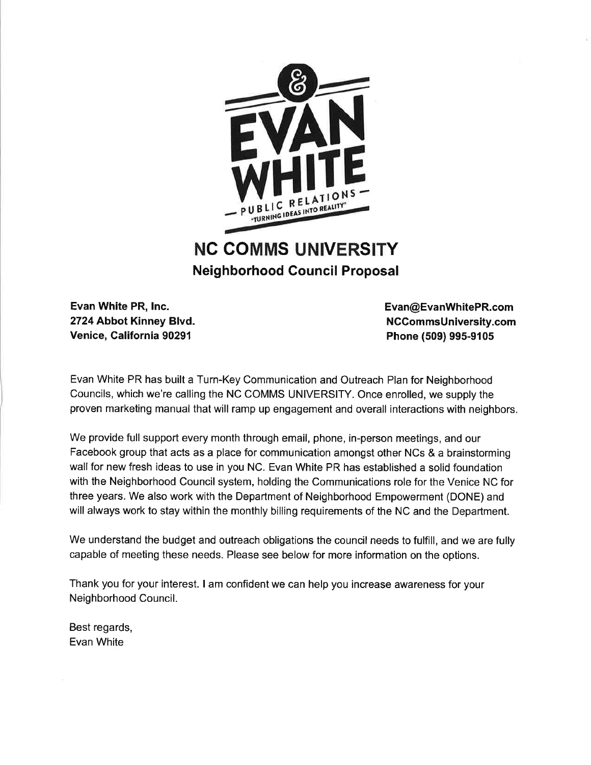

### **NC COMMS UNIVERSITY Neighborhood Council Proposal**

Evan White PR, Inc. 2724 Abbot Kinney Blvd. Venice, California 90291

Evan@EvanWhitePR.com NCCommsUniversity.com Phone (509) 995-9105

Evan White PR has built a Turn-Key Communication and Outreach Plan for Neighborhood Councils, which we're calling the NC COMMS UNIVERSITY. Once enrolled, we supply the proven marketing manual that will ramp up engagement and overall interactions with neighbors.

We provide full support every month through email, phone, in-person meetings, and our Facebook group that acts as a place for communication amongst other NCs & a brainstorming wall for new fresh ideas to use in you NC. Evan White PR has established a solid foundation with the Neighborhood Council system, holding the Communications role for the Venice NC for three years. We also work with the Department of Neighborhood Empowerment (DONE) and will always work to stay within the monthly billing requirements of the NC and the Department.

We understand the budget and outreach obligations the council needs to fulfill, and we are fully capable of meeting these needs. Please see below for more information on the options.

Thank you for your interest. I am confident we can help you increase awareness for your Neighborhood Council.

Best regards, Evan White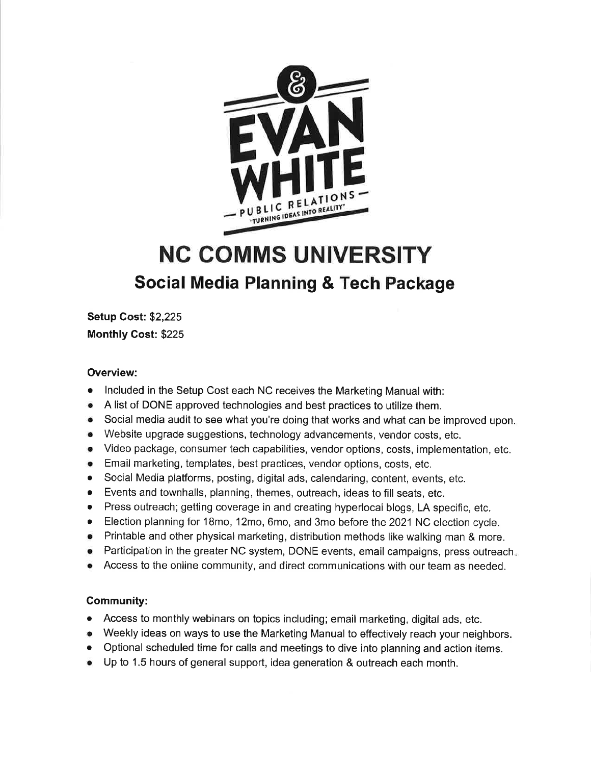

### **NC COMMS UNIVERSITY** Social Media Planning & Tech Package

**Setup Cost: \$2,225 Monthly Cost: \$225** 

### **Overview:**

- Included in the Setup Cost each NC receives the Marketing Manual with:
- A list of DONE approved technologies and best practices to utilize them.  $\bullet$
- Social media audit to see what you're doing that works and what can be improved upon.  $\bullet$
- Website upgrade suggestions, technology advancements, vendor costs, etc.
- Video package, consumer tech capabilities, vendor options, costs, implementation, etc.
- Email marketing, templates, best practices, vendor options, costs, etc.
- Social Media platforms, posting, digital ads, calendaring, content, events, etc.
- Events and townhalls, planning, themes, outreach, ideas to fill seats, etc.
- Press outreach; getting coverage in and creating hyperlocal blogs, LA specific, etc.
- Election planning for 18mo, 12mo, 6mo, and 3mo before the 2021 NC election cycle.
- Printable and other physical marketing, distribution methods like walking man & more.
- Participation in the greater NC system, DONE events, email campaigns, press outreach.
- Access to the online community, and direct communications with our team as needed.

### **Community:**

- Access to monthly webinars on topics including; email marketing, digital ads, etc.  $\bullet$
- Weekly ideas on ways to use the Marketing Manual to effectively reach your neighbors.
- Optional scheduled time for calls and meetings to dive into planning and action items.
- Up to 1.5 hours of general support, idea generation & outreach each month.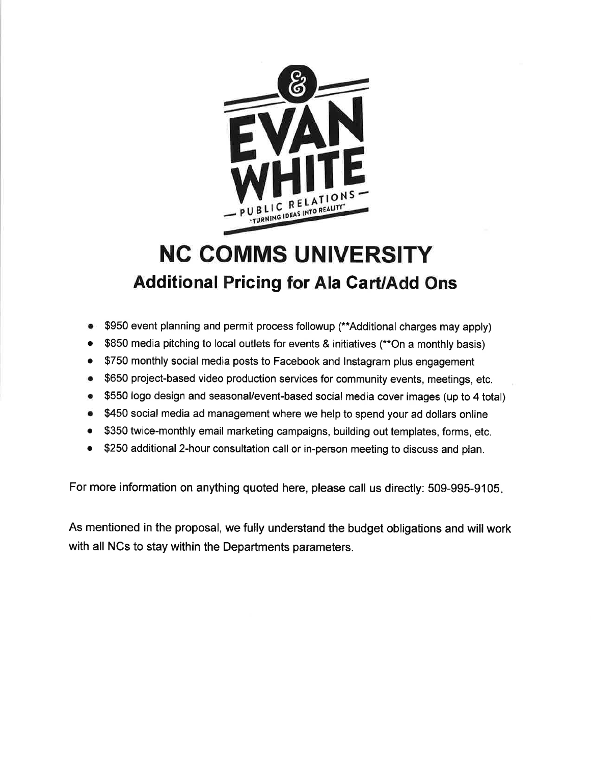

### **NC COMMS UNIVERSITY Additional Pricing for Ala Cart/Add Ons**

- \$950 event planning and permit process followup (\*\*Additional charges may apply)
- \$850 media pitching to local outlets for events & initiatives (\*\*On a monthly basis)  $\bullet$
- \$750 monthly social media posts to Facebook and Instagram plus engagement  $\bullet$
- \$650 project-based video production services for community events, meetings, etc.  $\bullet$
- \$550 logo design and seasonal/event-based social media cover images (up to 4 total)  $\bullet$
- \$450 social media ad management where we help to spend your ad dollars online
- \$350 twice-monthly email marketing campaigns, building out templates, forms, etc.
- \$250 additional 2-hour consultation call or in-person meeting to discuss and plan.  $\bullet$

For more information on anything quoted here, please call us directly: 509-995-9105.

As mentioned in the proposal, we fully understand the budget obligations and will work with all NCs to stay within the Departments parameters.